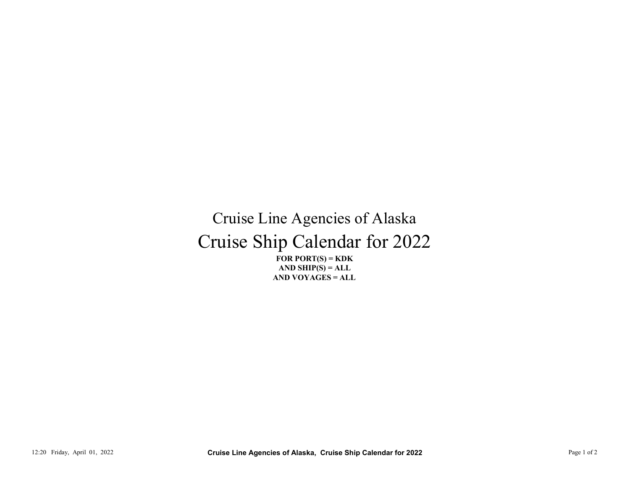## Cruise Ship Calendar for 2022 Cruise Line Agencies of Alaska 12:20 Friday, April 01, 2022<br>
12:20 Friday, April 01, 2022<br>
12:20 Friday, April 01, 2022<br>
12:20 Friday, April 01, 2022<br>
12:20 Friday, April 01, 2022<br>
2:20 Friday, April 01, 2022<br>
2:20 Friday, April 01, 2022<br>
2:20 Friday,

FOR PORT $(S)$  = KDK AND VOYAGES = ALL AND SHIP $(S) = ALL$